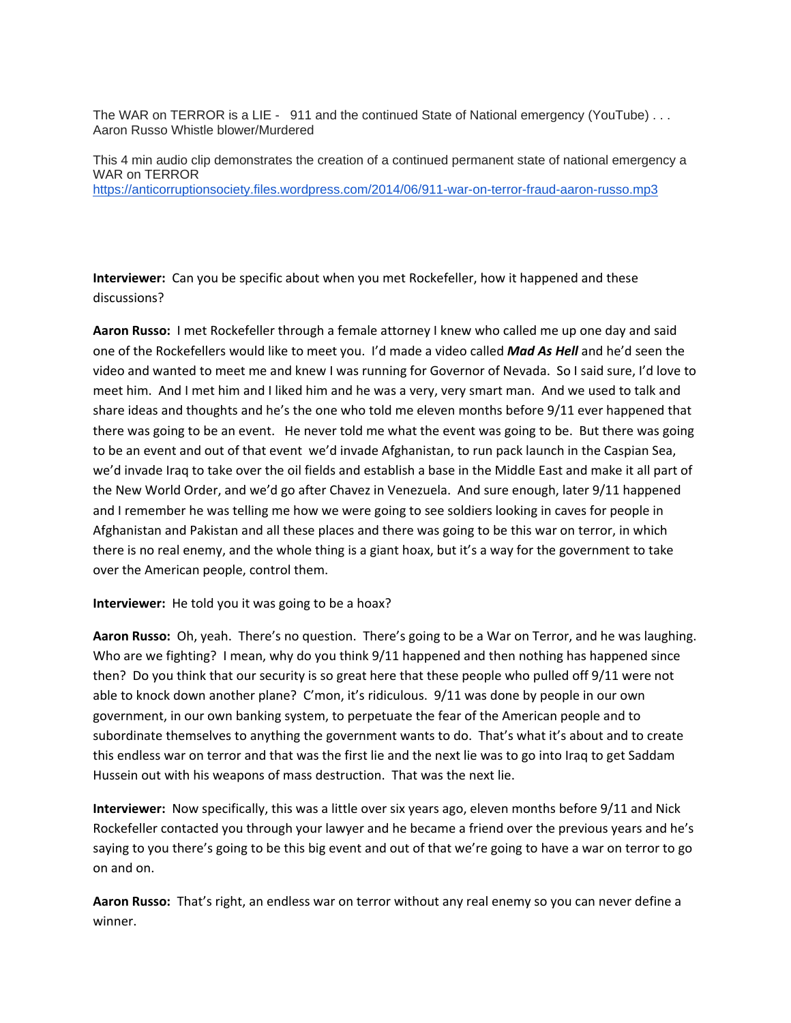The WAR on TERROR is a LIE - 911 and the continued State of National emergency (YouTube) . . . Aaron Russo Whistle blower/Murdered

This 4 min audio clip demonstrates the creation of a continued permanent state of national emergency a WAR on TERROR https://anticorruptionsociety.files.wordpress.com/2014/06/911-war-on-terror-fraud-aaron-russo.mp3

**Interviewer:** Can you be specific about when you met Rockefeller, how it happened and these discussions?

**Aaron Russo:** I met Rockefeller through a female attorney I knew who called me up one day and said one of the Rockefellers would like to meet you. I'd made a video called *Mad As Hell* and he'd seen the video and wanted to meet me and knew I was running for Governor of Nevada. So I said sure, I'd love to meet him. And I met him and I liked him and he was a very, very smart man. And we used to talk and share ideas and thoughts and he's the one who told me eleven months before 9/11 ever happened that there was going to be an event. He never told me what the event was going to be. But there was going to be an event and out of that event we'd invade Afghanistan, to run pack launch in the Caspian Sea, we'd invade Iraq to take over the oil fields and establish a base in the Middle East and make it all part of the New World Order, and we'd go after Chavez in Venezuela. And sure enough, later 9/11 happened and I remember he was telling me how we were going to see soldiers looking in caves for people in Afghanistan and Pakistan and all these places and there was going to be this war on terror, in which there is no real enemy, and the whole thing is a giant hoax, but it's a way for the government to take over the American people, control them.

## **Interviewer:** He told you it was going to be a hoax?

**Aaron Russo:** Oh, yeah. There's no question. There's going to be a War on Terror, and he was laughing. Who are we fighting? I mean, why do you think  $9/11$  happened and then nothing has happened since then? Do you think that our security is so great here that these people who pulled off 9/11 were not able to knock down another plane? C'mon, it's ridiculous. 9/11 was done by people in our own government, in our own banking system, to perpetuate the fear of the American people and to subordinate themselves to anything the government wants to do. That's what it's about and to create this endless war on terror and that was the first lie and the next lie was to go into Iraq to get Saddam Hussein out with his weapons of mass destruction. That was the next lie.

**Interviewer:** Now specifically, this was a little over six years ago, eleven months before 9/11 and Nick Rockefeller contacted you through your lawyer and he became a friend over the previous years and he's saying to you there's going to be this big event and out of that we're going to have a war on terror to go on and on.

**Aaron Russo:** That's right, an endless war on terror without any real enemy so you can never define a winner.